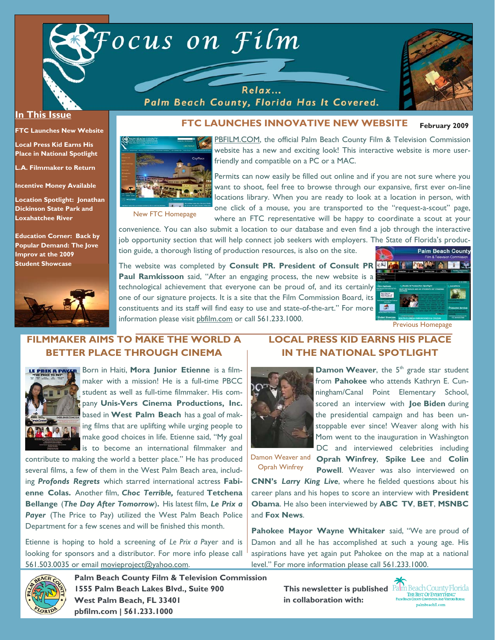

Palm Beach County, Florida Has It Covered.



#### **In This Issue**

**FTC Launches New Website** 

**Local Press Kid Earns His Place in National Spotlight** 

**L.A. Filmmaker to Return** 

**Incentive Money Available** 

**Location Spotlight: Jonathan Dickinson State Park and Loxahatchee River** 

**Education Corner: Back by Popular Demand: The Jove Improv at the 2009 Student Showcase** 



#### **February 2009 FTC LAUNCHES INNOVATIVE NEW WEBSITE**



PBFILM.COM, the official Palm Beach County Film & Television Commission website has a new and exciting look! This interactive website is more userfriendly and compatible on a PC or a MAC.

New FTC Homepage

Permits can now easily be filled out online and if you are not sure where you want to shoot, feel free to browse through our expansive, first ever on-line locations library. When you are ready to look at a location in person, with one click of a mouse, you are transported to the "request-a-scout" page, where an FTC representative will be happy to coordinate a scout at your

convenience. You can also submit a location to our database and even find a job through the interactive job opportunity section that will help connect job seekers with employers. The State of Florida's production guide, a thorough listing of production resources, is also on the site.

The website was completed by **Consult PR. President of Consult PR Paul Ramkissoon** said, "After an engaging process, the new website is a technological achievement that everyone can be proud of, and its certainly one of our signature projects. It is a site that the Film Commission Board, its constituents and its staff will find easy to use and state-of-the-art." For more information please visit pbfilm.com or call 561.233.1000.



# **FILMMAKER AIMS TO MAKE THE WORLD A BETTER PLACE THROUGH CINEMA**



**LE PRIX A PAYER** Born in Haiti, Mora Junior Etienne is a filmmaker with a mission! He is a full-time PBCC student as well as full-time filmmaker. His company **Unis-Vers Cinema Productions, Inc.**  based in **West Palm Beach** has a goal of making films that are uplifting while urging people to make good choices in life. Etienne said, "My goal is to become an international filmmaker and

contribute to making the world a better place." He has produced several films, a few of them in the West Palm Beach area, including *Profonds Regrets* which starred international actress **Fabienne Colas.** Another film, *Choc Terrible,* featured **Tetchena Bellange** (*The Day After Tomorrow*)**.** His latest film, *Le Prix a*  Payer (The Price to Pay) utilized the West Palm Beach Police Department for a few scenes and will be finished this month.

Etienne is hoping to hold a screening of *Le Prix a P*ayer and is looking for sponsors and a distributor. For more info please call 561.503.0035 or email movieproject@yahoo.com.

# **LOCAL PRESS KID EARNS HIS PLACE IN THE NATIONAL SPOTLIGHT**



**Damon Weaver**, the 5<sup>th</sup> grade star student from **Pahokee** who attends Kathryn E. Cunningham/Canal Point Elementary School, scored an interview with **Joe Biden** during the presidential campaign and has been unstoppable ever since! Weaver along with his Mom went to the inauguration in Washington DC and interviewed celebrities including

**Oprah Winfrey**, **Spike Lee** and **Colin** 

Damon Weaver and Oprah Winfrey

**Powell**. Weaver was also interviewed on **CNN's** *Larry King Live*, where he fielded questions about his career plans and his hopes to score an interview with **President Obama**. He also been interviewed by **ABC TV**, **BET**, **MSNBC** and **Fox News**.

**Pahokee Mayor Wayne Whitaker** said, "We are proud of Damon and all he has accomplished at such a young age. His aspirations have yet again put Pahokee on the map at a national level." For more information please call 561.233.1000.



**Palm Beach County Film & Television Commission 1555 Palm Beach Lakes Blvd., Suite 900 West Palm Beach, FL 33401 pbfilm.com | 561.233.1000** 

**This newsletter is published**  $\frac{\sum_{\text{The BSS OF EVENTHING:}}}{\sum_{\text{RIN BEST OF E$  $VIENTHING:}}$ **in collaboration with:**

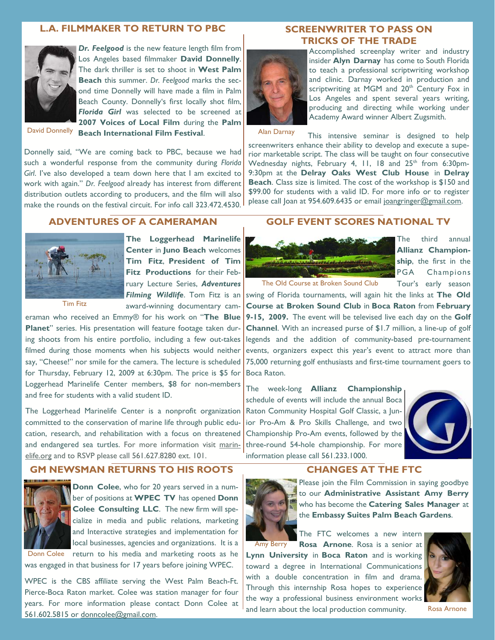#### **L.A. FILMMAKER TO RETURN TO PBC**



*Dr. Feelgood* is the new feature length film from Los Angeles based filmmaker **David Donnelly**. The dark thriller is set to shoot in **West Palm Beach** this summer. *Dr. Feelgood* marks the second time Donnelly will have made a film in Palm Beach County. Donnelly's first locally shot film, *Florida Girl* was selected to be screened at **2007 Voices of Local Film** during the **Palm** 

David Donnelly

**Beach International Film Festival**.

Donnelly said, "We are coming back to PBC, because we had such a wonderful response from the community during *Florida Girl*. I've also developed a team down here that I am excited to work with again." *Dr. Feelgood* already has interest from different distribution outlets according to producers, and the film will also make the rounds on the festival circuit. For info call 323.472.4530.

#### **SCREENWRITER TO PASS ON TRICKS OF THE TRADE**



Accomplished screenplay writer and industry insider **Alyn Darnay** has come to South Florida to teach a professional scriptwriting workshop and clinic. Darnay worked in production and scriptwriting at MGM and 20<sup>th</sup> Century Fox in Los Angeles and spent several years writing, producing and directing while working under Academy Award winner Albert Zugsmith.

Alan Darnay

This intensive seminar is designed to help screenwriters enhance their ability to develop and execute a superior marketable script. The class will be taught on four consecutive Wednesday nights, February 4, 11, 18 and 25<sup>th</sup> from 6:30pm-9:30pm at the **Delray Oaks West Club House** in **Delray Beach**. Class size is limited. The cost of the workshop is \$150 and \$99.00 for students with a valid ID. For more info or to register please call Joan at 954.609.6435 or email joangringer@gmail.com.

## **ADVENTURES OF A CAMERAMAN**



**The Loggerhead Marinelife Center** in **Juno Beach** welcomes **Tim Fitz**, **President of Tim Fitz Productions** for their February Lecture Series, *Adventures Filming Wildlife*. Tom Fitz is an award-winning documentary cam-

Tim Fitz

eraman who received an Emmy® for his work on "**The Blue Planet**" series. His presentation will feature footage taken during shoots from his entire portfolio, including a few out-takes filmed during those moments when his subjects would neither say, "Cheese!" nor smile for the camera. The lecture is scheduled for Thursday, February 12, 2009 at 6:30pm. The price is \$5 for Loggerhead Marinelife Center members, \$8 for non-members and free for students with a valid student ID.

The Loggerhead Marinelife Center is a nonprofit organization committed to the conservation of marine life through public education, research, and rehabilitation with a focus on threatened and endangered sea turtles. For more information visit marinelife.org and to RSVP please call 561.627.8280 ext. 101.

#### **GM NEWSMAN RETURNS TO HIS ROOTS**



**Donn Colee**, who for 20 years served in a number of positions at **WPEC TV** has opened **Donn Colee Consulting LLC**. The new firm will specialize in media and public relations, marketing and Interactive strategies and implementation for local businesses, agencies and organizations. It is a

return to his media and marketing roots as he was engaged in that business for 17 years before joining WPEC. Donn Colee

WPEC is the CBS affiliate serving the West Palm Beach-Ft. Pierce-Boca Raton market. Colee was station manager for four years. For more information please contact Donn Colee at 561.602.5815 or donncolee@gmail.com.

### **GOLF EVENT SCORES NATIONAL TV**



The third annual **Allianz Championship**, the first in the PGA Champions Tour's early season

The Old Course at Broken Sound Club

swing of Florida tournaments, will again hit the links at **The Old Course at Broken Sound Club** in **Boca Raton** from **February 9-15, 2009.** The event will be televised live each day on the **Golf Channel**. With an increased purse of \$1.7 million, a line-up of golf legends and the addition of community-based pre-tournament events, organizers expect this year's event to attract more than 75,000 returning golf enthusiasts and first-time tournament goers to Boca Raton.

The week-long **Allianz Championship**  schedule of events will include the annual Boca Raton Community Hospital Golf Classic, a Junior Pro-Am & Pro Skills Challenge, and two Championship Pro-Am events, followed by the three-round 54-hole championship. For more information please call 561.233.1000.



#### **CHANGES AT THE FTC**



Please join the Film Commission in saying goodbye to our **Administrative Assistant Amy Berry** who has become the **Catering Sales Manager** at the **Embassy Suites Palm Beach Gardens**.

The FTC welcomes a new intern

**Rosa Arnone**. Rosa is a senior at **Lynn University** in **Boca Raton** and is working toward a degree in International Communications with a double concentration in film and drama. Through this internship Rosa hopes to experience the way a professional business environment works and learn about the local production community. Amy Berry



Rosa Arnone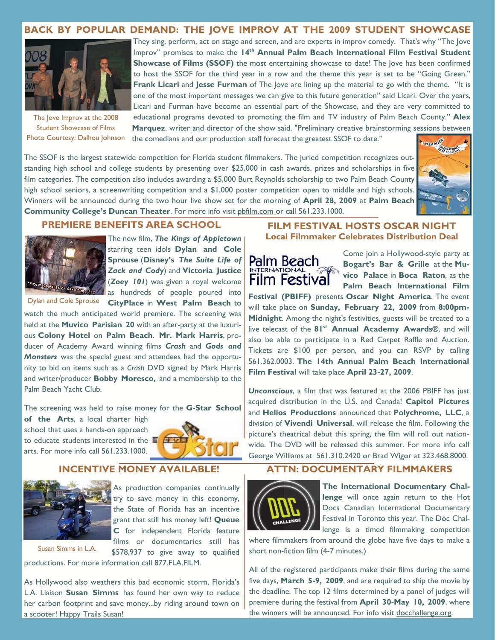# **BACK BY POPULAR DEMAND: THE JOVE IMPROV AT THE 2009 STUDENT SHOWCASE**



The love Improv at the 2008 Student Showcase of Films Photo Courtesy: Dalhou Johnson

They sing, perform, act on stage and screen, and are experts in improv comedy. That's why "The Jove Improv" promises to make the 14<sup>th</sup> Annual Palm Beach International Film Festival Student **Showcase of Films (SSOF)** the most entertaining showcase to date! The love has been confirmed to host the SSOF for the third year in a row and the theme this year is set to be "Going Green." **Frank Licari** and **Jesse Furman** of The Jove are lining up the material to go with the theme. "It is one of the most important messages we can give to this future generation" said Licari. Over the years, Licari and Furman have become an essential part of the Showcase, and they are very committed to educational programs devoted to promoting the film and TV industry of Palm Beach County." **Alex Marquez**, writer and director of the show said, "Preliminary creative brainstorming sessions between

the comedians and our production staff forecast the greatest SSOF to date."

The SSOF is the largest statewide competition for Florida student filmmakers. The juried competition recognizes outstanding high school and college students by presenting over \$25,000 in cash awards, prizes and scholarships in five film categories. The competition also includes awarding a \$5,000 Burt Reynolds scholarship to two Palm Beach County high school seniors, a screenwriting competition and a \$1,000 poster competition open to middle and high schools. Winners will be announced during the two hour live show set for the morning of **April 28, 2009** at **Palm Beach Community College's Duncan Theater**. For more info visit pbfilm.com or call 561.233.1000.





The new film, *The Kings of Appletown* starring teen idols **Dylan and Cole Sprouse** (**Disney's** *The Suite Life of Zack and Cody*) and **Victoria Justice** (*Zoey 101*) was given a royal welcome as hundreds of people poured into

Dylan and Cole Sprouse

**CityPlace** in **West Palm Beach** to watch the much anticipated world premiere. The screening was held at the **Muvico Parisian 20** with an after-party at the luxurious **Colony Hotel** on **Palm Beach**. **Mr. Mark Harris**, producer of Academy Award winning films *Crash* and *Gods and Monsters* was the special guest and attendees had the opportunity to bid on items such as a *Crash* DVD signed by Mark Harris and writer/producer **Bobby Moresco,** and a membership to the Palm Beach Yacht Club.

The screening was held to raise money for the **G-Star School** 

**of the Arts**, a local charter high school that uses a hands-on approach to educate students interested in the arts. For more info call 561.233.1000.



## **INCENTIVE MONEY AVAILABLE!**



As production companies continually try to save money in this economy, the State of Florida has an incentive grant that still has money left! **Queue C** for independent Florida feature films or documentaries still has

\$578,937 to give away to qualified

productions. For more information call 877.FLA.FILM.

As Hollywood also weathers this bad economic storm, Florida's L.A. Liaison **Susan Simms** has found her own way to reduce her carbon footprint and save money...by riding around town on a scooter! Happy Trails Susan!

#### **PREMIERE BENEFITS AREA SCHOOL FILM FESTIVAL HOSTS OSCAR NIGHT Local Filmmaker Celebrates Distribution Deal**



Come join a Hollywood-style party at **Bogart's Bar & Grille** at the **Muvico Palace** in **Boca Raton**, as the **Palm Beach International Film** 

**Festival (PBIFF)** presents **Oscar Night America**. The event will take place on **Sunday, February 22, 2009** from **8:00pm-Midnight**. Among the night's festivities, guests will be treated to a live telecast of the **81st Annual Academy Awards®**, and will also be able to participate in a Red Carpet Raffle and Auction. Tickets are \$100 per person, and you can RSVP by calling 561.362.0003. **The 14th Annual Palm Beach International Film Festival** will take place **April 23-27, 2009**.

*Unconscious*, a film that was featured at the 2006 PBIFF has just acquired distribution in the U.S. and Canada! **Capitol Pictures**  and **Helios Productions** announced that **Polychrome, LLC**, a division of **Vivendi Universal**, will release the film. Following the picture's theatrical debut this spring, the film will roll out nationwide. The DVD will be released this summer. For more info call George Williams at 561.310.2420 or Brad Wigor at 323.468.8000.

# **ATTN: DOCUMENTARY FILMMAKERS**



**The International Documentary Challenge** will once again return to the Hot Docs Canadian International Documentary Festival in Toronto this year. The Doc Challenge is a timed filmmaking competition

where filmmakers from around the globe have five days to make a short non-fiction film (4-7 minutes.)

All of the registered participants make their films during the same five days, **March 5-9, 2009**, and are required to ship the movie by the deadline. The top 12 films determined by a panel of judges will premiere during the festival from **April 30-May 10, 2009**, where the winners will be announced. For info visit docchallenge.org.